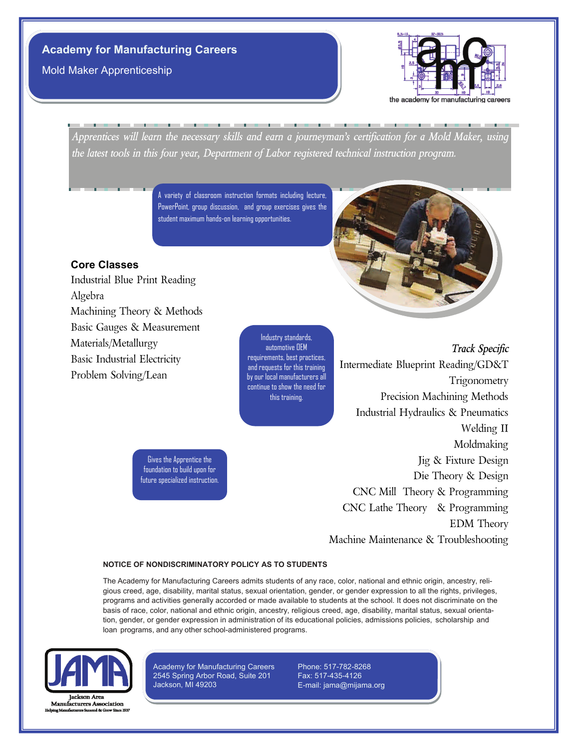Mold Maker Apprenticeship



*Apprentices will learn the necessary skills and earn a journeyman's certification for a Mold Maker, using the latest tools in this four year, Department of Labor registered technical instruction program.*

> A variety of classroom instruction formats including lecture, PowerPoint, group discussion, and group exercises gives the student maximum hands-on learning opportunities.

# **Core Classes**

Industrial Blue Print Reading Algebra Machining Theory & Methods Basic Gauges & Measurement Materials/Metallurgy Basic Industrial Electricity Problem Solving/Lean

Industry standards, automotive OEM requirements, best practices, and requests for this training by our local manufacturers all continue to show the need for this training.

*Track Specific* Intermediate Blueprint Reading/GD&T Trigonometry Precision Machining Methods Industrial Hydraulics & Pneumatics Welding II Moldmaking Jig & Fixture Design Die Theory & Design CNC Mill Theory & Programming CNC Lathe Theory & Programming EDM Theory Machine Maintenance & Troubleshooting

Gives the Apprentice the foundation to build upon for future specialized instruction.

#### **NOTICE OF NONDISCRIMINATORY POLICY AS TO STUDENTS**

The Academy for Manufacturing Careers admits students of any race, color, national and ethnic origin, ancestry, religious creed, age, disability, marital status, sexual orientation, gender, or gender expression to all the rights, privileges, programs and activities generally accorded or made available to students at the school. It does not discriminate on the basis of race, color, national and ethnic origin, ancestry, religious creed, age, disability, marital status, sexual orientation, gender, or gender expression in administration of its educational policies, admissions policies, scholarship and loan programs, and any other school-administered programs.



Manufacturers Association

Academy for Manufacturing Careers 2545 Spring Arbor Road, Suite 201 Jackson, MI 49203

Phone: 517-782-8268 Fax: 517-435-4126 E-mail: jama@mijama.org